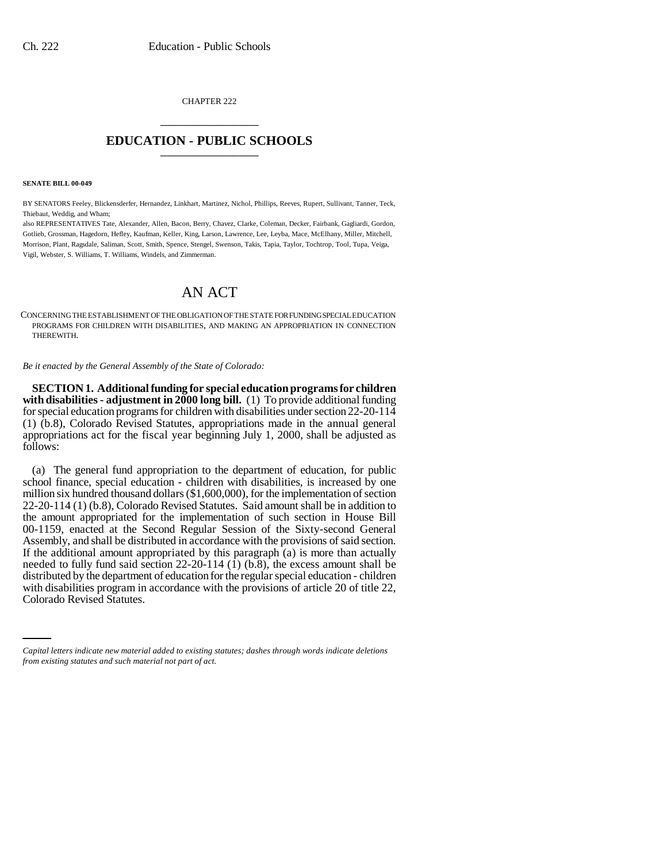CHAPTER 222 \_\_\_\_\_\_\_\_\_\_\_\_\_\_\_

## **EDUCATION - PUBLIC SCHOOLS** \_\_\_\_\_\_\_\_\_\_\_\_\_\_\_

**SENATE BILL 00-049** 

BY SENATORS Feeley, Blickensderfer, Hernandez, Linkhart, Martinez, Nichol, Phillips, Reeves, Rupert, Sullivant, Tanner, Teck, Thiebaut, Weddig, and Wham;

also REPRESENTATIVES Tate, Alexander, Allen, Bacon, Berry, Chavez, Clarke, Coleman, Decker, Fairbank, Gagliardi, Gordon, Gotlieb, Grossman, Hagedorn, Hefley, Kaufman, Keller, King, Larson, Lawrence, Lee, Leyba, Mace, McElhany, Miller, Mitchell, Morrison, Plant, Ragsdale, Saliman, Scott, Smith, Spence, Stengel, Swenson, Takis, Tapia, Taylor, Tochtrop, Tool, Tupa, Veiga, Vigil, Webster, S. Williams, T. Williams, Windels, and Zimmerman.

## AN ACT

CONCERNING THE ESTABLISHMENT OF THE OBLIGATION OF THE STATE FOR FUNDING SPECIAL EDUCATION PROGRAMS FOR CHILDREN WITH DISABILITIES, AND MAKING AN APPROPRIATION IN CONNECTION THEREWITH.

*Be it enacted by the General Assembly of the State of Colorado:*

**SECTION 1. Additional funding for special education programs for children with disabilities - adjustment in 2000 long bill.** (1) To provide additional funding for special education programs for children with disabilities under section 22-20-114 (1) (b.8), Colorado Revised Statutes, appropriations made in the annual general appropriations act for the fiscal year beginning July 1, 2000, shall be adjusted as follows:

with disabilities program in accordance with the provisions of article 20 of title 22, (a) The general fund appropriation to the department of education, for public school finance, special education - children with disabilities, is increased by one million six hundred thousand dollars (\$1,600,000), for the implementation of section 22-20-114 (1) (b.8), Colorado Revised Statutes. Said amount shall be in addition to the amount appropriated for the implementation of such section in House Bill 00-1159, enacted at the Second Regular Session of the Sixty-second General Assembly, and shall be distributed in accordance with the provisions of said section. If the additional amount appropriated by this paragraph  $(a)$  is more than actually needed to fully fund said section  $22-20-114$  (1) (b.8), the excess amount shall be distributed by the department of education for the regular special education - children Colorado Revised Statutes.

*Capital letters indicate new material added to existing statutes; dashes through words indicate deletions from existing statutes and such material not part of act.*